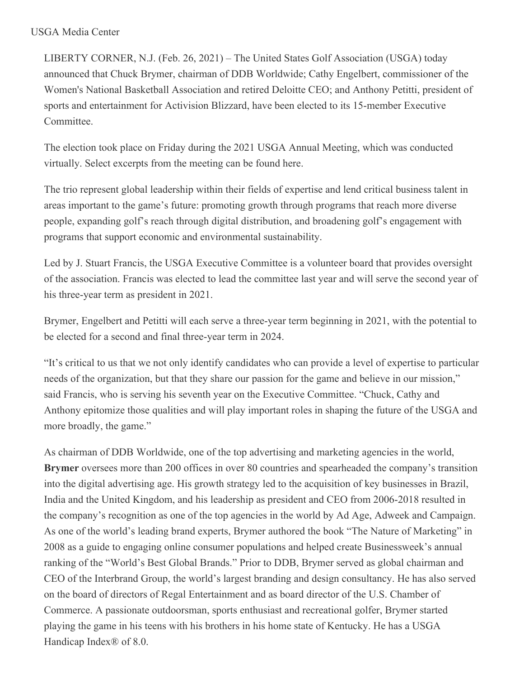## USGA Media Center

LIBERTY CORNER, N.J. (Feb. 26, 2021) – The United States Golf Association (USGA) today announced that Chuck Brymer, chairman of DDB Worldwide; Cathy Engelbert, commissioner of the Women's National Basketball Association and retired Deloitte CEO; and Anthony Petitti, president of sports and entertainment for Activision Blizzard, have been elected to its 15-member Executive Committee.

The election took place on Friday during the 2021 USGA Annual Meeting, which was conducted virtually. Select excerpts from the meeting can be found here.

The trio represent global leadership within their fields of expertise and lend critical business talent in areas important to the game's future: promoting growth through programs that reach more diverse people, expanding golf's reach through digital distribution, and broadening golf's engagement with programs that support economic and environmental sustainability.

Led by J. Stuart Francis, the USGA Executive Committee is a volunteer board that provides oversight of the association. Francis was elected to lead the committee last year and will serve the second year of his three-year term as president in 2021.

Brymer, Engelbert and Petitti will each serve a three-year term beginning in 2021, with the potential to be elected for a second and final three-year term in 2024.

"It's critical to us that we not only identify candidates who can provide a level of expertise to particular needs of the organization, but that they share our passion for the game and believe in our mission," said Francis, who is serving his seventh year on the Executive Committee. "Chuck, Cathy and Anthony epitomize those qualities and will play important roles in shaping the future of the USGA and more broadly, the game."

As chairman of DDB Worldwide, one of the top advertising and marketing agencies in the world, **Brymer** oversees more than 200 offices in over 80 countries and spearheaded the company's transition into the digital advertising age. His growth strategy led to the acquisition of key businesses in Brazil, India and the United Kingdom, and his leadership as president and CEO from 2006-2018 resulted in the company's recognition as one of the top agencies in the world by Ad Age, Adweek and Campaign. As one of the world's leading brand experts, Brymer authored the book "The Nature of Marketing" in 2008 as a guide to engaging online consumer populations and helped create Businessweek's annual ranking of the "World's Best Global Brands." Prior to DDB, Brymer served as global chairman and CEO of the Interbrand Group, the world's largest branding and design consultancy. He has also served on the board of directors of Regal Entertainment and as board director of the U.S. Chamber of Commerce. A passionate outdoorsman, sports enthusiast and recreational golfer, Brymer started playing the game in his teens with his brothers in his home state of Kentucky. He has a USGA Handicap Index® of 8.0.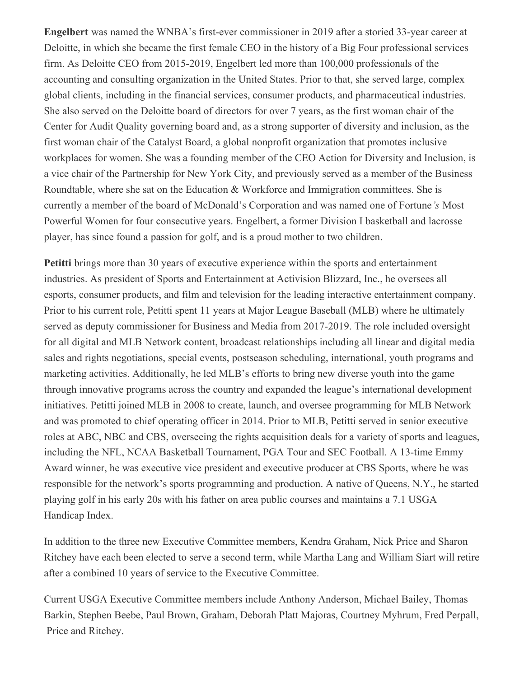**Engelbert** was named the WNBA's first-ever commissioner in 2019 after a storied 33-year career at Deloitte, in which she became the first female CEO in the history of a Big Four professional services firm. As Deloitte CEO from 2015-2019, Engelbert led more than 100,000 professionals of the accounting and consulting organization in the United States. Prior to that, she served large, complex global clients, including in the financial services, consumer products, and pharmaceutical industries. She also served on the Deloitte board of directors for over 7 years, as the first woman chair of the Center for Audit Quality governing board and, as a strong supporter of diversity and inclusion, as the first woman chair of the Catalyst Board, a global nonprofit organization that promotes inclusive workplaces for women. She was a founding member of the CEO Action for Diversity and Inclusion, is a vice chair of the Partnership for New York City, and previously served as a member of the Business Roundtable, where she sat on the Education & Workforce and Immigration committees. She is currently a member of the board of McDonald's Corporation and was named one of Fortune*'s* Most Powerful Women for four consecutive years. Engelbert, a former Division I basketball and lacrosse player, has since found a passion for golf, and is a proud mother to two children.

**Petitti** brings more than 30 years of executive experience within the sports and entertainment industries. As president of Sports and Entertainment at Activision Blizzard, Inc., he oversees all esports, consumer products, and film and television for the leading interactive entertainment company. Prior to his current role, Petitti spent 11 years at Major League Baseball (MLB) where he ultimately served as deputy commissioner for Business and Media from 2017-2019. The role included oversight for all digital and MLB Network content, broadcast relationships including all linear and digital media sales and rights negotiations, special events, postseason scheduling, international, youth programs and marketing activities. Additionally, he led MLB's efforts to bring new diverse youth into the game through innovative programs across the country and expanded the league's international development initiatives. Petitti joined MLB in 2008 to create, launch, and oversee programming for MLB Network and was promoted to chief operating officer in 2014. Prior to MLB, Petitti served in senior executive roles at ABC, NBC and CBS, overseeing the rights acquisition deals for a variety of sports and leagues, including the NFL, NCAA Basketball Tournament, PGA Tour and SEC Football. A 13-time Emmy Award winner, he was executive vice president and executive producer at CBS Sports, where he was responsible for the network's sports programming and production. A native of Queens, N.Y., he started playing golf in his early 20s with his father on area public courses and maintains a 7.1 USGA Handicap Index.

In addition to the three new Executive Committee members, Kendra Graham, Nick Price and Sharon Ritchey have each been elected to serve a second term, while Martha Lang and William Siart will retire after a combined 10 years of service to the Executive Committee.

Current USGA Executive Committee members include Anthony Anderson, Michael Bailey, Thomas Barkin, Stephen Beebe, Paul Brown, Graham, Deborah Platt Majoras, Courtney Myhrum, Fred Perpall, Price and Ritchey.